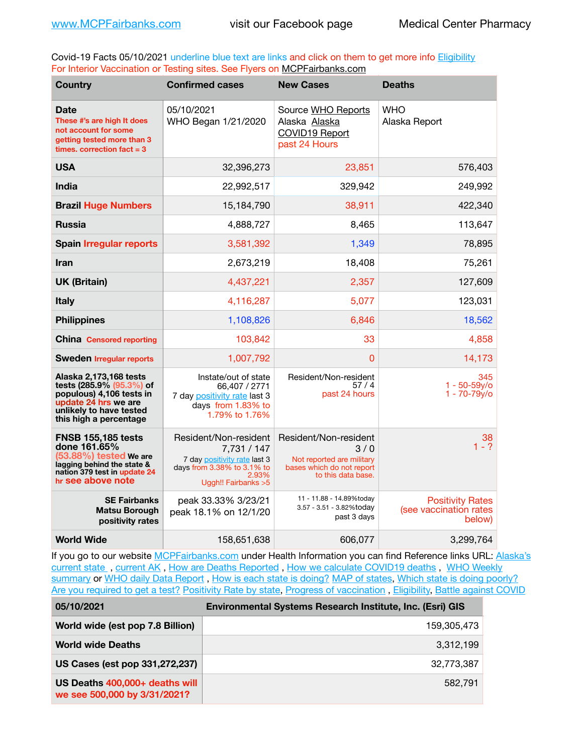Covid-19 Facts 05/10/2021 underline blue text are links and click on them to get more info **Eligibility** For Interior Vaccination or Testing sites. See Flyers on [MCPFairbanks.com](http://www.MCPFairbanks.com)

| <b>Country</b>                                                                                                                                                    | <b>Confirmed cases</b>                                                                                                              | <b>New Cases</b>                                                                                             | <b>Deaths</b>                                               |
|-------------------------------------------------------------------------------------------------------------------------------------------------------------------|-------------------------------------------------------------------------------------------------------------------------------------|--------------------------------------------------------------------------------------------------------------|-------------------------------------------------------------|
| <b>Date</b><br>These #'s are high It does<br>not account for some<br>getting tested more than 3<br>times, correction $fact = 3$                                   | 05/10/2021<br>WHO Began 1/21/2020                                                                                                   | Source WHO Reports<br>Alaska Alaska<br><b>COVID19 Report</b><br>past 24 Hours                                | <b>WHO</b><br>Alaska Report                                 |
| <b>USA</b>                                                                                                                                                        | 32,396,273                                                                                                                          | 23,851                                                                                                       | 576,403                                                     |
| <b>India</b>                                                                                                                                                      | 22,992,517                                                                                                                          | 329,942                                                                                                      | 249,992                                                     |
| <b>Brazil Huge Numbers</b>                                                                                                                                        | 15,184,790                                                                                                                          | 38,911                                                                                                       | 422,340                                                     |
| <b>Russia</b>                                                                                                                                                     | 4,888,727                                                                                                                           | 8,465                                                                                                        | 113,647                                                     |
| <b>Spain Irregular reports</b>                                                                                                                                    | 3,581,392                                                                                                                           | 1,349                                                                                                        | 78,895                                                      |
| <b>Iran</b>                                                                                                                                                       | 2,673,219                                                                                                                           | 18,408                                                                                                       | 75,261                                                      |
| <b>UK (Britain)</b>                                                                                                                                               | 4,437,221                                                                                                                           | 2,357                                                                                                        | 127,609                                                     |
| <b>Italy</b>                                                                                                                                                      | 4,116,287                                                                                                                           | 5,077                                                                                                        | 123,031                                                     |
| <b>Philippines</b>                                                                                                                                                | 1,108,826                                                                                                                           | 6,846                                                                                                        | 18,562                                                      |
| <b>China Censored reporting</b>                                                                                                                                   | 103,842                                                                                                                             | 33                                                                                                           | 4,858                                                       |
| <b>Sweden Irregular reports</b>                                                                                                                                   | 1,007,792                                                                                                                           | $\Omega$                                                                                                     | 14,173                                                      |
| Alaska 2,173,168 tests<br>tests $(285.9\%$ $(95.3\%)$ of<br>populous) 4,106 tests in<br>update 24 hrs we are<br>unlikely to have tested<br>this high a percentage | Instate/out of state<br>66,407 / 2771<br>7 day positivity rate last 3<br>days from 1.83% to<br>1.79% to 1.76%                       | Resident/Non-resident<br>57/4<br>past 24 hours                                                               | 345<br>1 - 50-59y/o<br>$1 - 70 - 79y$ /o                    |
| <b>FNSB 155,185 tests</b><br>done 161.65%<br>(53.88%) tested We are<br>lagging behind the state &<br>nation 379 test in update 24<br>hr see above note            | Resident/Non-resident<br>7,731 / 147<br>7 day positivity rate last 3<br>days from 3.38% to 3.1% to<br>2.93%<br>Uggh!! Fairbanks > 5 | Resident/Non-resident<br>3/0<br>Not reported are military<br>bases which do not report<br>to this data base. | 38<br>$1 - ?$                                               |
| <b>SE Fairbanks</b><br><b>Matsu Borough</b><br>positivity rates                                                                                                   | peak 33.33% 3/23/21<br>peak 18.1% on 12/1/20                                                                                        | 11 - 11.88 - 14.89%today<br>3.57 - 3.51 - 3.82%today<br>past 3 days                                          | <b>Positivity Rates</b><br>(see vaccination rates<br>below) |
| <b>World Wide</b>                                                                                                                                                 | 158,651,638                                                                                                                         | 606,077                                                                                                      | 3,299,764                                                   |

If you go to our website [MCPFairbanks.com](http://www.MCPFairbanks.com) under Health Information you can find Reference links URL: Alaska's [current state](https://coronavirus-response-alaska-dhss.hub.arcgis.com) , [current AK](http://dhss.alaska.gov/dph/Epi/id/Pages/COVID-19/communications.aspx#cases) , [How are Deaths Reported](http://dhss.alaska.gov/dph/Epi/id/Pages/COVID-19/deathcounts.aspx) , [How we calculate COVID19 deaths](https://coronavirus-response-alaska-dhss.hub.arcgis.com/search?collection=Document&groupIds=41ccb3344ebc4bd682c74073eba21f42) , [WHO Weekly](http://www.who.int)  [summary](http://www.who.int) or [WHO daily Data Report](https://covid19.who.int/table), [How is each state is doing?](https://www.msn.com/en-us/news/us/state-by-state-coronavirus-news/ar-BB13E1PX?fbclid=IwAR0_OBJH7lSyTN3ug_MsOeFnNgB1orTa9OBgilKJ7dhnwlVvHEsptuKkj1c) [MAP of states,](https://www.nationalgeographic.com/science/graphics/graphic-tracking-coronavirus-infections-us?cmpid=org=ngp::mc=crm-email::src=ngp::cmp=editorial::add=SpecialEdition_20210305&rid=B9A6DF5992658E8E35CE023113CFEA4C) [Which state is doing poorly?](https://bestlifeonline.com/covid-outbreak-your-state/?utm_source=nsltr&utm_medium=email&utm_content=covid-outbreak-your-state&utm_campaign=launch) [Are you required to get a test?](http://dhss.alaska.gov/dph/Epi/id/SiteAssets/Pages/HumanCoV/Whattodoafteryourtest.pdf) [Positivity Rate by state](https://coronavirus.jhu.edu/testing/individual-states/alaska), Progress of vaccination, [Eligibility,](http://dhss.alaska.gov/dph/Epi/id/Pages/COVID-19/VaccineAvailability.aspx) [Battle against COVID](https://www.nationalgeographic.com/science/graphics/graphic-tracking-coronavirus-infections-us?cmpid=org=ngp::mc=crm-email::src=ngp::cmp=editorial::add=SpecialEdition_20210219&rid=B9A6DF5992658E8E35CE023113CFEA4C)

| 05/10/2021                                                     | <b>Environmental Systems Research Institute, Inc. (Esri) GIS</b> |  |
|----------------------------------------------------------------|------------------------------------------------------------------|--|
| World wide (est pop 7.8 Billion)                               | 159,305,473                                                      |  |
| <b>World wide Deaths</b>                                       | 3,312,199                                                        |  |
| US Cases (est pop 331,272,237)                                 | 32,773,387                                                       |  |
| US Deaths 400,000+ deaths will<br>we see 500,000 by 3/31/2021? | 582.791                                                          |  |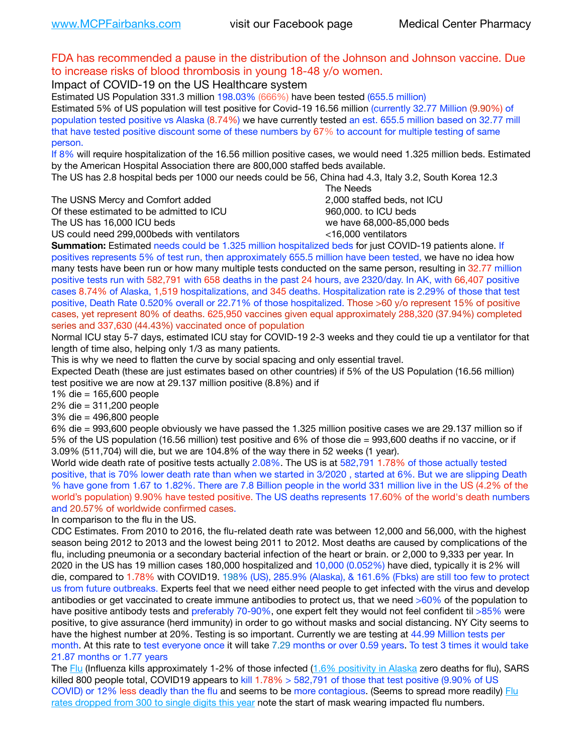## FDA has recommended a pause in the distribution of the Johnson and Johnson vaccine. Due to increase risks of blood thrombosis in young 18-48 y/o women.

Impact of COVID-19 on the US Healthcare system

Estimated US Population 331.3 million 198.03% (666%) have been tested (655.5 million) Estimated 5% of US population will test positive for Covid-19 16.56 million (currently 32.77 Million (9.90%) of population tested positive vs Alaska (8.74%) we have currently tested an est. 655.5 million based on 32.77 mill that have tested positive discount some of these numbers by 67% to account for multiple testing of same person.

If 8% will require hospitalization of the 16.56 million positive cases, we would need 1.325 million beds. Estimated by the American Hospital Association there are 800,000 staffed beds available.

The US has 2.8 hospital beds per 1000 our needs could be 56, China had 4.3, Italy 3.2, South Korea 12.3

The USNS Mercy and Comfort added 2,000 staffed beds, not ICU

Of these estimated to be admitted to ICU **860,000**, to ICU beds

The US has 16,000 ICU beds we have 68,000-85,000 beds

 The Needs

US could need 299,000 beds with ventilators  $\leq$ 16,000 ventilators **Summation:** Estimated needs could be 1.325 million hospitalized beds for just COVID-19 patients alone. If positives represents 5% of test run, then approximately 655.5 million have been tested, we have no idea how many tests have been run or how many multiple tests conducted on the same person, resulting in 32.77 million positive tests run with 582,791 with 658 deaths in the past 24 hours, ave 2320/day. In AK, with 66,407 positive cases 8.74% of Alaska, 1,519 hospitalizations, and 345 deaths. Hospitalization rate is 2.29% of those that test positive, Death Rate 0.520% overall or 22.71% of those hospitalized. Those >60 y/o represent 15% of positive cases, yet represent 80% of deaths. 625,950 vaccines given equal approximately 288,320 (37.94%) completed

series and 337,630 (44.43%) vaccinated once of population

Normal ICU stay 5-7 days, estimated ICU stay for COVID-19 2-3 weeks and they could tie up a ventilator for that length of time also, helping only 1/3 as many patients.

This is why we need to flatten the curve by social spacing and only essential travel.

Expected Death (these are just estimates based on other countries) if 5% of the US Population (16.56 million) test positive we are now at 29.137 million positive (8.8%) and if

1% die = 165,600 people

2% die = 311,200 people

3% die = 496,800 people

6% die = 993,600 people obviously we have passed the 1.325 million positive cases we are 29.137 million so if 5% of the US population (16.56 million) test positive and 6% of those die = 993,600 deaths if no vaccine, or if 3.09% (511,704) will die, but we are 104.8% of the way there in 52 weeks (1 year).

World wide death rate of positive tests actually 2.08%. The US is at 582,791 1.78% of those actually tested positive, that is 70% lower death rate than when we started in 3/2020 , started at 6%. But we are slipping Death % have gone from 1.67 to 1.82%. There are 7.8 Billion people in the world 331 million live in the US (4.2% of the world's population) 9.90% have tested positive. The US deaths represents 17.60% of the world's death numbers and 20.57% of worldwide confirmed cases.

In comparison to the flu in the US.

CDC Estimates. From 2010 to 2016, the flu-related death rate was between 12,000 and 56,000, with the highest season being 2012 to 2013 and the lowest being 2011 to 2012. Most deaths are caused by complications of the flu, including pneumonia or a secondary bacterial infection of the heart or brain. or 2,000 to 9,333 per year. In 2020 in the US has 19 million cases 180,000 hospitalized and 10,000 (0.052%) have died, typically it is 2% will die, compared to 1.78% with COVID19. 198% (US), 285.9% (Alaska), & 161.6% (Fbks) are still too few to protect us from future outbreaks. Experts feel that we need either need people to get infected with the virus and develop antibodies or get vaccinated to create immune antibodies to protect us, that we need >60% of the population to have positive antibody tests and preferably 70-90%, one expert felt they would not feel confident til >85% were positive, to give assurance (herd immunity) in order to go without masks and social distancing. NY City seems to have the highest number at 20%. Testing is so important. Currently we are testing at 44.99 Million tests per month. At this rate to test everyone once it will take 7.29 months or over 0.59 years. To test 3 times it would take 21.87 months or 1.77 years

The [Flu](https://lnks.gd/l/eyJhbGciOiJIUzI1NiJ9.eyJidWxsZXRpbl9saW5rX2lkIjoxMDMsInVyaSI6ImJwMjpjbGljayIsImJ1bGxldGluX2lkIjoiMjAyMTAyMjYuMzYwNDA3NTEiLCJ1cmwiOiJodHRwczovL3d3dy5jZGMuZ292L2ZsdS93ZWVrbHkvb3ZlcnZpZXcuaHRtIn0.ePMA_hsZ-pTnhWSyg1gHvHWYTu2XceVOt0JejxvP1WE/s/500544915/br/98428119752-l) (Influenza kills approximately 1-2% of those infected ([1.6% positivity in Alaska](http://dhss.alaska.gov/dph/Epi/id/SiteAssets/Pages/influenza/trends/Snapshot.pdf) zero deaths for flu), SARS killed 800 people total, COVID19 appears to kill 1.78% > 582,791 of those that test positive (9.90% of US COVID) or 12% less deadly than the flu and seems to be more contagious. (Seems to spread more readily) Flu [rates dropped from 300 to single digits this year](https://lnks.gd/l/eyJhbGciOiJIUzI1NiJ9.eyJidWxsZXRpbl9saW5rX2lkIjoxMDEsInVyaSI6ImJwMjpjbGljayIsImJ1bGxldGluX2lkIjoiMjAyMTAyMjYuMzYwNDA3NTEiLCJ1cmwiOiJodHRwOi8vZGhzcy5hbGFza2EuZ292L2RwaC9FcGkvaWQvUGFnZXMvaW5mbHVlbnphL2ZsdWluZm8uYXNweCJ9.oOe3nt2fww6XpsNhb4FZfmtPfPa-irGaldpkURBJhSo/s/500544915/br/98428119752-l) note the start of mask wearing impacted flu numbers.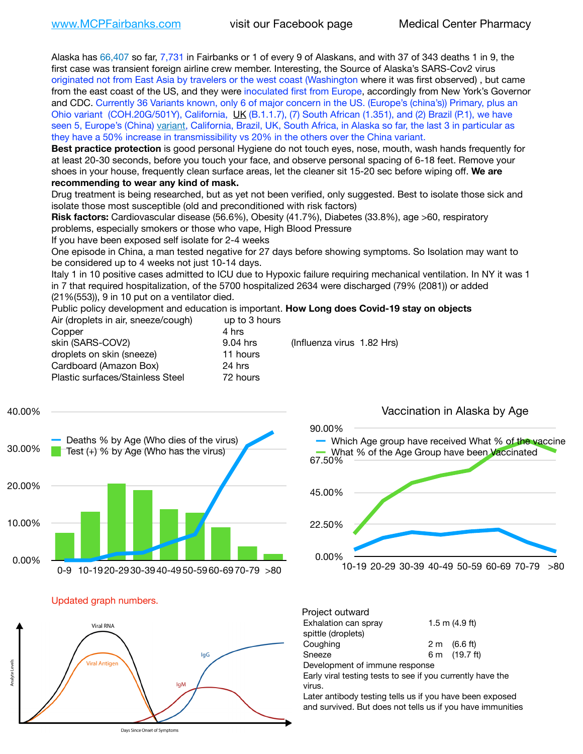Alaska has 66,407 so far, 7,731 in Fairbanks or 1 of every 9 of Alaskans, and with 37 of 343 deaths 1 in 9, the first case was transient foreign airline crew member. Interesting, the Source of Alaska's SARS-Cov2 virus originated not from East Asia by travelers or the west coast (Washington where it was first observed) , but came from the east coast of the US, and they were inoculated first from Europe, accordingly from New York's Governor and CDC. Currently 36 Variants known, only 6 of major concern in the US. (Europe's (china's)) Primary, plus an Ohio variant (COH.20G/501Y), California, [UK](https://www.cdc.gov/coronavirus/2019-ncov/transmission/variant-cases.html) (B.1.1.7), (7) South African (1.351), and (2) Brazil (P.1), we have seen 5, Europe's (China) [variant,](https://www.webmd.com/lung/news/20210318/cdc-who-create-threat-levels-for-covid-variants?ecd=wnl_cvd_031921&ctr=wnl-cvd-031921&mb=kYbf7DsHb7YGjh/1RUkcAW0T6iorImAU1TDZh18RYs0=_Support_titleLink_2) California, Brazil, UK, South Africa, in Alaska so far, the last 3 in particular as they have a 50% increase in transmissibility vs 20% in the others over the China variant.

**Best practice protection** is good personal Hygiene do not touch eyes, nose, mouth, wash hands frequently for at least 20-30 seconds, before you touch your face, and observe personal spacing of 6-18 feet. Remove your shoes in your house, frequently clean surface areas, let the cleaner sit 15-20 sec before wiping off. **We are recommending to wear any kind of mask.**

Drug treatment is being researched, but as yet not been verified, only suggested. Best to isolate those sick and isolate those most susceptible (old and preconditioned with risk factors)

**Risk factors:** Cardiovascular disease (56.6%), Obesity (41.7%), Diabetes (33.8%), age >60, respiratory problems, especially smokers or those who vape, High Blood Pressure

If you have been exposed self isolate for 2-4 weeks

One episode in China, a man tested negative for 27 days before showing symptoms. So Isolation may want to be considered up to 4 weeks not just 10-14 days.

Italy 1 in 10 positive cases admitted to ICU due to Hypoxic failure requiring mechanical ventilation. In NY it was 1 in 7 that required hospitalization, of the 5700 hospitalized 2634 were discharged (79% (2081)) or added (21%(553)), 9 in 10 put on a ventilator died.

Public policy development and education is important. **How Long does Covid-19 stay on objects**

| Air (droplets in air, sneeze/cough) | up to 3 hours |                            |
|-------------------------------------|---------------|----------------------------|
| Copper                              | 4 hrs         |                            |
| skin (SARS-COV2)                    | 9.04 hrs      | (Influenza virus 1.82 Hrs) |
| droplets on skin (sneeze)           | 11 hours      |                            |
| Cardboard (Amazon Box)              | 24 hrs        |                            |
| Plastic surfaces/Stainless Steel    | 72 hours      |                            |
|                                     |               |                            |







| Project outward                |  |                        |  |  |
|--------------------------------|--|------------------------|--|--|
| Exhalation can spray           |  | $1.5$ m $(4.9$ ft)     |  |  |
| spittle (droplets)             |  |                        |  |  |
| Coughing                       |  | $2 \text{ m}$ (6.6 ft) |  |  |
| Sneeze                         |  | 6 m (19.7 ft)          |  |  |
| Development of immune response |  |                        |  |  |

Early viral testing tests to see if you currently have the virus.

Later antibody testing tells us if you have been exposed and survived. But does not tells us if you have immunities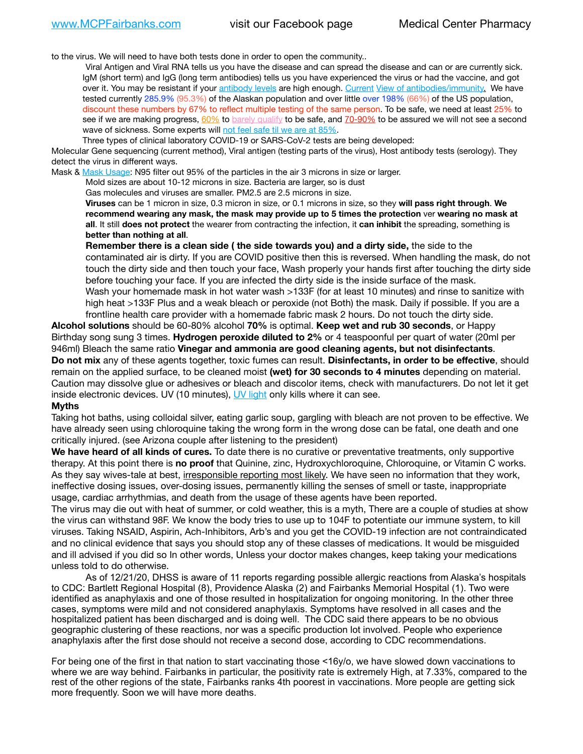to the virus. We will need to have both tests done in order to open the community..

Viral Antigen and Viral RNA tells us you have the disease and can spread the disease and can or are currently sick. IgM (short term) and IgG (long term antibodies) tells us you have experienced the virus or had the vaccine, and got over it. You may be resistant if your [antibody levels](https://www.cdc.gov/coronavirus/2019-ncov/lab/resources/antibody-tests.html) are high enough. [Current](https://l.facebook.com/l.php?u=https://www.itv.com/news/2020-10-26/covid-19-antibody-levels-reduce-over-time-study-finds?fbclid=IwAR3Dapzh1qIH1EIOdUQI2y8THf7jfA4KBCaJz8Qg-8xe1YsrR4nsAHDIXSY&h=AT30nut8pkqp0heVuz5W2rT2WFFm-2Ab52BsJxZZCNlGsX58IpPkuVEPULbIUV_M16MAukx1Kwb657DPXxsgDN1rpOQ4gqBtQsmVYiWpnHPJo2RQsU6CPMd14lgLnQnFWxfVi6zvmw&__tn__=-UK-R&c%5B0%5D=AT1GaRAfR_nGAyqcn7TI1-PpvqOqEKXHnz6TDWvRStMnOSH7boQDvTiwTOc6VId9UES6LKiOmm2m88wKCoolkJyOFvakt2Z1Mw8toYWGGoWW23r0MNVBl7cYJXB_UOvGklNHaNnaNr1_S7NhT3BSykNOBg) [View of antibodies/immunity](https://www.livescience.com/antibodies.html)[.](https://www.itv.com/news/2020-10-26/covid-19-antibody-levels-reduce-over-time-study-finds) We have tested currently 285.9% (95.3%) of the Alaskan population and over little over 198% (66%) of the US population, discount these numbers by 67% to reflect multiple testing of the same person. To be safe, we need at least 25% to see if we are making progress, [60%](https://www.jhsph.edu/covid-19/articles/achieving-herd-immunity-with-covid19.html) to [barely qualify](https://www.nature.com/articles/d41586-020-02948-4) to be safe, and [70-90%](https://www.mayoclinic.org/herd-immunity-and-coronavirus/art-20486808) to be assured we will not see a second wave of sickness. Some experts will [not feel safe til we are at 85%.](https://www.bannerhealth.com/healthcareblog/teach-me/what-is-herd-immunity)

Three types of clinical laboratory COVID-19 or SARS-CoV-2 tests are being developed:

Molecular Gene sequencing (current method), Viral antigen (testing parts of the virus), Host antibody tests (serology). They detect the virus in different ways.

Mask & [Mask Usage:](https://www.nationalgeographic.com/history/2020/03/how-cities-flattened-curve-1918-spanish-flu-pandemic-coronavirus/) N95 filter out 95% of the particles in the air 3 microns in size or larger.

Mold sizes are about 10-12 microns in size. Bacteria are larger, so is dust

Gas molecules and viruses are smaller. PM2.5 are 2.5 microns in size.

**Viruses** can be 1 micron in size, 0.3 micron in size, or 0.1 microns in size, so they **will pass right through**. **We recommend wearing any mask, the mask may provide up to 5 times the protection** ver **wearing no mask at all**. It still **does not protect** the wearer from contracting the infection, it **can inhibit** the spreading, something is **better than nothing at all**.

**Remember there is a clean side ( the side towards you) and a dirty side,** the side to the contaminated air is dirty. If you are COVID positive then this is reversed. When handling the mask, do not touch the dirty side and then touch your face, Wash properly your hands first after touching the dirty side before touching your face. If you are infected the dirty side is the inside surface of the mask. Wash your homemade mask in hot water wash >133F (for at least 10 minutes) and rinse to sanitize with high heat >133F Plus and a weak bleach or peroxide (not Both) the mask. Daily if possible. If you are a frontline health care provider with a homemade fabric mask 2 hours. Do not touch the dirty side.

**Alcohol solutions** should be 60-80% alcohol **70%** is optimal. **Keep wet and rub 30 seconds**, or Happy Birthday song sung 3 times. **Hydrogen peroxide diluted to 2%** or 4 teaspoonful per quart of water (20ml per 946ml) Bleach the same ratio **Vinegar and ammonia are good cleaning agents, but not disinfectants**. **Do not mix** any of these agents together, toxic fumes can result. **Disinfectants, in order to be effective**, should remain on the applied surface, to be cleaned moist **(wet) for 30 seconds to 4 minutes** depending on material. Caution may dissolve glue or adhesives or bleach and discolor items, check with manufacturers. Do not let it get inside electronic devices. UV (10 minutes), [UV light](http://www.docreviews.me/best-uv-boxes-2020/?fbclid=IwAR3bvFtXB48OoBBSvYvTEnKuHNPbipxM6jUo82QUSw9wckxjC7wwRZWabGw) only kills where it can see.

#### **Myths**

Taking hot baths, using colloidal silver, eating garlic soup, gargling with bleach are not proven to be effective. We have already seen using chloroquine taking the wrong form in the wrong dose can be fatal, one death and one critically injured. (see Arizona couple after listening to the president)

**We have heard of all kinds of cures.** To date there is no curative or preventative treatments, only supportive therapy. At this point there is **no proof** that Quinine, zinc, Hydroxychloroquine, Chloroquine, or Vitamin C works. As they say wives-tale at best, *irresponsible reporting most likely*. We have seen no information that they work, ineffective dosing issues, over-dosing issues, permanently killing the senses of smell or taste, inappropriate usage, cardiac arrhythmias, and death from the usage of these agents have been reported.

The virus may die out with heat of summer, or cold weather, this is a myth, There are a couple of studies at show the virus can withstand 98F. We know the body tries to use up to 104F to potentiate our immune system, to kill viruses. Taking NSAID, Aspirin, Ach-Inhibitors, Arb's and you get the COVID-19 infection are not contraindicated and no clinical evidence that says you should stop any of these classes of medications. It would be misguided and ill advised if you did so In other words, Unless your doctor makes changes, keep taking your medications unless told to do otherwise.

As of 12/21/20, DHSS is aware of 11 reports regarding possible allergic reactions from Alaska's hospitals to CDC: Bartlett Regional Hospital (8), Providence Alaska (2) and Fairbanks Memorial Hospital (1). Two were identified as anaphylaxis and one of those resulted in hospitalization for ongoing monitoring. In the other three cases, symptoms were mild and not considered anaphylaxis. Symptoms have resolved in all cases and the hospitalized patient has been discharged and is doing well. The CDC said there appears to be no obvious geographic clustering of these reactions, nor was a specific production lot involved. People who experience anaphylaxis after the first dose should not receive a second dose, according to CDC recommendations.

For being one of the first in that nation to start vaccinating those <16y/o, we have slowed down vaccinations to where we are way behind. Fairbanks in particular, the positivity rate is extremely High, at 7.33%, compared to the rest of the other regions of the state, Fairbanks ranks 4th poorest in vaccinations. More people are getting sick more frequently. Soon we will have more deaths.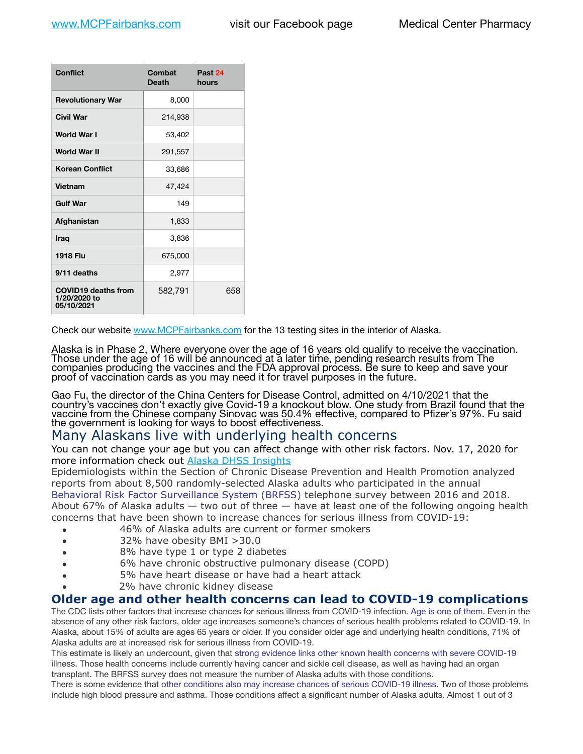| <b>Conflict</b>                                          | Combat<br><b>Death</b> | Past 24<br>hours |
|----------------------------------------------------------|------------------------|------------------|
| <b>Revolutionary War</b>                                 | 8,000                  |                  |
| Civil War                                                | 214,938                |                  |
| World War I                                              | 53.402                 |                  |
| World War II                                             | 291,557                |                  |
| <b>Korean Conflict</b>                                   | 33,686                 |                  |
| <b>Vietnam</b>                                           | 47,424                 |                  |
| <b>Gulf War</b>                                          | 149                    |                  |
| Afghanistan                                              | 1,833                  |                  |
| <b>Iraq</b>                                              | 3,836                  |                  |
| <b>1918 Flu</b>                                          | 675,000                |                  |
| 9/11 deaths                                              | 2,977                  |                  |
| <b>COVID19 deaths from</b><br>1/20/2020 to<br>05/10/2021 | 582,791                | 658              |

Check our website [www.MCPFairbanks.com](http://www.MCPFairbanks.com) for the 13 testing sites in the interior of Alaska.

Alaska is in Phase 2, Where everyone over the age of 16 years old qualify to receive the vaccination. Those under the age of 16 will be announced at a later time, pending research results from The companies producĭng the vaccines and the FDA approval process. Be sure to keep and save your proof of vaccination cards as you may need it for travel purposes in the future.

Gao Fu, the director of the China Centers for Disease Control, admitted on 4/10/2021 that the country's vaccines don't exactly give Covid-19 a knockout blow. One study from Brazil found that the vaccine from the Chinese company Sinovac was 50.4% effective, compared to Pfizer's 97%. Fu said the government is looking for ways to boost effectiveness.

# Many Alaskans live with underlying health concerns

You can not change your age but you can affect change with other risk factors. Nov. 17, 2020 for more information check out **[Alaska DHSS Insights](http://dhss.alaska.gov/dph/Epi/id/Pages/COVID-19/blog/20201117.aspx)** 

Epidemiologists within the Section of Chronic Disease Prevention and Health Promotion analyzed reports from about 8,500 randomly-selected Alaska adults who participated in the annual [Behavioral Risk Factor Surveillance System \(BRFSS\)](http://dhss.alaska.gov/dph/Chronic/Pages/brfss/default.aspx) telephone survey between 2016 and 2018. About 67% of Alaska adults — two out of three — have at least one of the following ongoing health concerns that have been shown to increase chances for serious illness from COVID-19:

- 46% of Alaska adults are current or former smokers
- 32% have obesity BMI >30.0
- 8% have type 1 or type 2 diabetes
- 6% have chronic obstructive pulmonary disease (COPD)
- 5% have heart disease or have had a heart attack
- 2% have chronic kidney disease

### **Older age and other health concerns can lead to COVID-19 complications**

The CDC lists other factors that increase chances for serious illness from COVID-19 infection. [Age is one of them](https://www.cdc.gov/coronavirus/2019-ncov/need-extra-precautions/older-adults.html). Even in the absence of any other risk factors, older age increases someone's chances of serious health problems related to COVID-19. In Alaska, about 15% of adults are ages 65 years or older. If you consider older age and underlying health conditions, 71% of Alaska adults are at increased risk for serious illness from COVID-19.

This estimate is likely an undercount, given that [strong evidence links other known health concerns with severe COVID-19](https://www.cdc.gov/coronavirus/2019-ncov/need-extra-precautions/people-with-medical-conditions.html) illness. Those health concerns include currently having cancer and sickle cell disease, as well as having had an organ transplant. The BRFSS survey does not measure the number of Alaska adults with those conditions.

There is some evidence that [other conditions also may increase chances of serious COVID-19 illness](https://www.cdc.gov/coronavirus/2019-ncov/need-extra-precautions/evidence-table.html). Two of those problems include high blood pressure and asthma. Those conditions affect a significant number of Alaska adults. Almost 1 out of 3